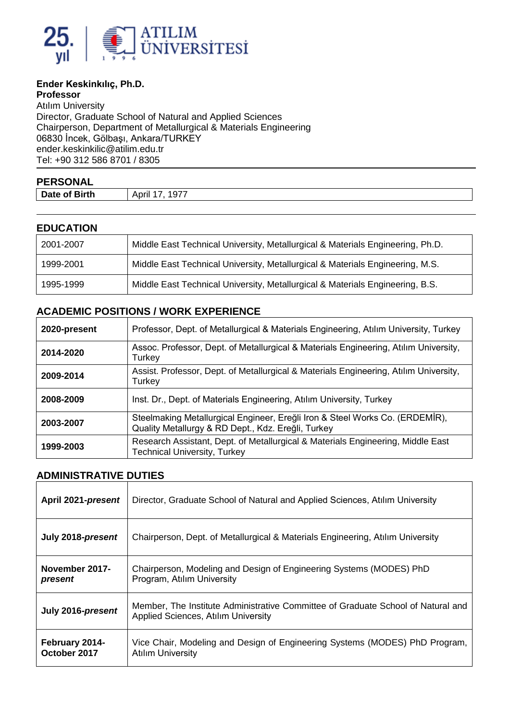

## **Ender Keskinkılıç, Ph.D.**

**Professor** Atılım University Director, Graduate School of Natural and Applied Sciences Chairperson, Department of Metallurgical & Materials Engineering 06830 İncek, Gölbaşı, Ankara/TURKEY ender.keskinkili[c@atilim.edu.tr](mailto:ulug@bilkent.edu.tr) Tel: +90 312 586 8701 / 8305

| <b>PERSONAL</b> |                   |
|-----------------|-------------------|
| Date of Birth   | 1977<br>April 17. |

### **EDUCATION**

| 2001-2007 | Middle East Technical University, Metallurgical & Materials Engineering, Ph.D. |
|-----------|--------------------------------------------------------------------------------|
| 1999-2001 | Middle East Technical University, Metallurgical & Materials Engineering, M.S.  |
| 1995-1999 | Middle East Technical University, Metallurgical & Materials Engineering, B.S.  |

## **ACADEMIC POSITIONS / WORK EXPERIENCE**

| 2020-present | Professor, Dept. of Metallurgical & Materials Engineering, Atilim University, Turkey                                               |
|--------------|------------------------------------------------------------------------------------------------------------------------------------|
| 2014-2020    | Assoc. Professor, Dept. of Metallurgical & Materials Engineering, Atılım University,<br>Turkey                                     |
| 2009-2014    | Assist. Professor, Dept. of Metallurgical & Materials Engineering, Atılım University,<br>Turkey                                    |
| 2008-2009    | Inst. Dr., Dept. of Materials Engineering, Atilim University, Turkey                                                               |
| 2003-2007    | Steelmaking Metallurgical Engineer, Ereğli Iron & Steel Works Co. (ERDEMIR),<br>Quality Metallurgy & RD Dept., Kdz. Ereğli, Turkey |
| 1999-2003    | Research Assistant, Dept. of Metallurgical & Materials Engineering, Middle East<br><b>Technical University, Turkey</b>             |

#### **ADMINISTRATIVE DUTIES**

| April 2021-present             | Director, Graduate School of Natural and Applied Sciences, Atilim University                                            |
|--------------------------------|-------------------------------------------------------------------------------------------------------------------------|
| July 2018-present              | Chairperson, Dept. of Metallurgical & Materials Engineering, Atilim University                                          |
| November 2017-<br>present      | Chairperson, Modeling and Design of Engineering Systems (MODES) PhD<br>Program, Atılım University                       |
| July 2016-present              | Member, The Institute Administrative Committee of Graduate School of Natural and<br>Applied Sciences, Atılım University |
| February 2014-<br>October 2017 | Vice Chair, Modeling and Design of Engineering Systems (MODES) PhD Program,<br><b>Atılım University</b>                 |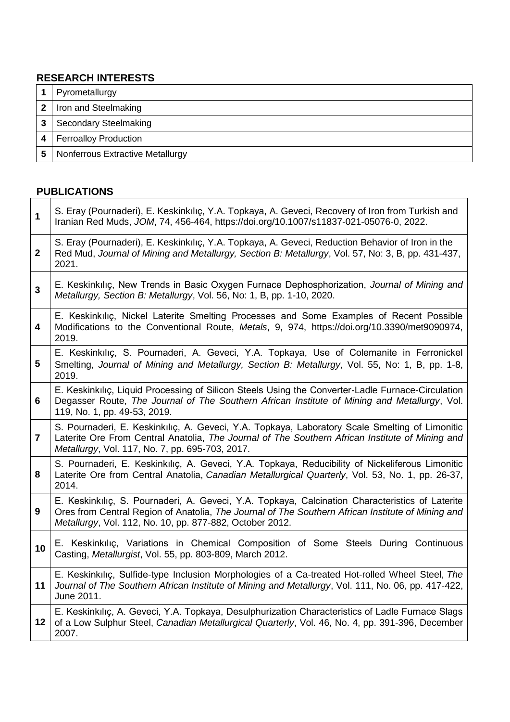## **RESEARCH INTERESTS**

|   | Pyrometallurgy                          |
|---|-----------------------------------------|
| 2 | Iron and Steelmaking                    |
|   | <b>Secondary Steelmaking</b>            |
| 4 | <b>Ferroalloy Production</b>            |
| 5 | <b>Nonferrous Extractive Metallurgy</b> |

# **PUBLICATIONS**

| $\mathbf{1}$   | S. Eray (Pournaderi), E. Keskinkılıç, Y.A. Topkaya, A. Geveci, Recovery of Iron from Turkish and<br>Iranian Red Muds, JOM, 74, 456-464, https://doi.org/10.1007/s11837-021-05076-0, 2022.                                                                        |
|----------------|------------------------------------------------------------------------------------------------------------------------------------------------------------------------------------------------------------------------------------------------------------------|
| $\mathbf{2}$   | S. Eray (Pournaderi), E. Keskinkılıç, Y.A. Topkaya, A. Geveci, Reduction Behavior of Iron in the<br>Red Mud, Journal of Mining and Metallurgy, Section B: Metallurgy, Vol. 57, No: 3, B, pp. 431-437,<br>2021.                                                   |
| 3              | E. Keskinkılıç, New Trends in Basic Oxygen Furnace Dephosphorization, Journal of Mining and<br>Metallurgy, Section B: Metallurgy, Vol. 56, No: 1, B, pp. 1-10, 2020.                                                                                             |
| 4              | E. Keskinkiliç, Nickel Laterite Smelting Processes and Some Examples of Recent Possible<br>Modifications to the Conventional Route, Metals, 9, 974, https://doi.org/10.3390/met9090974,<br>2019.                                                                 |
| 5              | E. Keskinkılıç, S. Pournaderi, A. Geveci, Y.A. Topkaya, Use of Colemanite in Ferronickel<br>Smelting, Journal of Mining and Metallurgy, Section B: Metallurgy, Vol. 55, No: 1, B, pp. 1-8,<br>2019.                                                              |
| 6              | E. Keskinkılıç, Liquid Processing of Silicon Steels Using the Converter-Ladle Furnace-Circulation<br>Degasser Route, The Journal of The Southern African Institute of Mining and Metallurgy, Vol.<br>119, No. 1, pp. 49-53, 2019.                                |
| $\overline{7}$ | S. Pournaderi, E. Keskinkılıç, A. Geveci, Y.A. Topkaya, Laboratory Scale Smelting of Limonitic<br>Laterite Ore From Central Anatolia, The Journal of The Southern African Institute of Mining and<br>Metallurgy, Vol. 117, No. 7, pp. 695-703, 2017.             |
| 8              | S. Pournaderi, E. Keskinkılıç, A. Geveci, Y.A. Topkaya, Reducibility of Nickeliferous Limonitic<br>Laterite Ore from Central Anatolia, Canadian Metallurgical Quarterly, Vol. 53, No. 1, pp. 26-37,<br>2014.                                                     |
| 9              | E. Keskinkılıç, S. Pournaderi, A. Geveci, Y.A. Topkaya, Calcination Characteristics of Laterite<br>Ores from Central Region of Anatolia, The Journal of The Southern African Institute of Mining and<br>Metallurgy, Vol. 112, No. 10, pp. 877-882, October 2012. |
| 10             | E. Keskinkilic, Variations in Chemical Composition of Some Steels During Continuous<br>Casting, Metallurgist, Vol. 55, pp. 803-809, March 2012.                                                                                                                  |
| 11             | E. Keskinkılıç, Sulfide-type Inclusion Morphologies of a Ca-treated Hot-rolled Wheel Steel, The<br>Journal of The Southern African Institute of Mining and Metallurgy, Vol. 111, No. 06, pp. 417-422,<br>June 2011.                                              |
| 12             | E. Keskinkılıç, A. Geveci, Y.A. Topkaya, Desulphurization Characteristics of Ladle Furnace Slags<br>of a Low Sulphur Steel, Canadian Metallurgical Quarterly, Vol. 46, No. 4, pp. 391-396, December<br>2007.                                                     |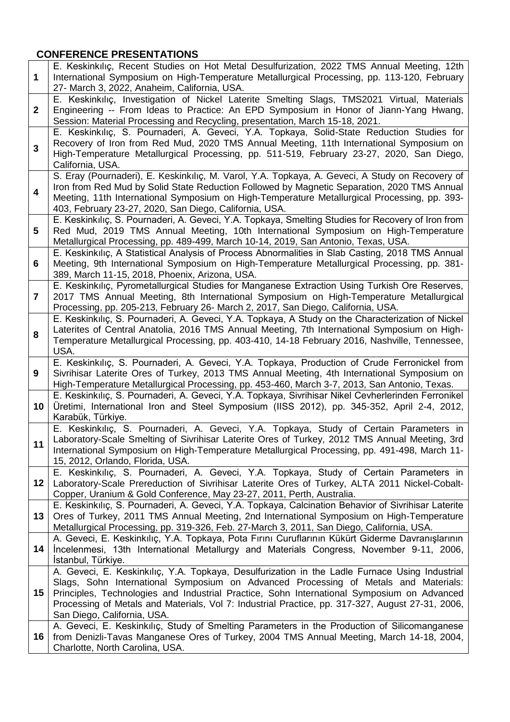# **CONFERENCE PRESENTATIONS**

| 1                       | E. Keskinkılıç, Recent Studies on Hot Metal Desulfurization, 2022 TMS Annual Meeting, 12th<br>International Symposium on High-Temperature Metallurgical Processing, pp. 113-120, February<br>27- March 3, 2022, Anaheim, California, USA.                                                                                                                                                                                                                                                                              |
|-------------------------|------------------------------------------------------------------------------------------------------------------------------------------------------------------------------------------------------------------------------------------------------------------------------------------------------------------------------------------------------------------------------------------------------------------------------------------------------------------------------------------------------------------------|
| $\mathbf{2}$            | E. Keskinkılıç, Investigation of Nickel Laterite Smelting Slags, TMS2021 Virtual, Materials<br>Engineering -- From Ideas to Practice: An EPD Symposium in Honor of Jiann-Yang Hwang,<br>Session: Material Processing and Recycling, presentation, March 15-18, 2021.                                                                                                                                                                                                                                                   |
| 3                       | E. Keskinkılıç, S. Pournaderi, A. Geveci, Y.A. Topkaya, Solid-State Reduction Studies for<br>Recovery of Iron from Red Mud, 2020 TMS Annual Meeting, 11th International Symposium on<br>High-Temperature Metallurgical Processing, pp. 511-519, February 23-27, 2020, San Diego,<br>California, USA.                                                                                                                                                                                                                   |
| $\overline{\mathbf{4}}$ | S. Eray (Pournaderi), E. Keskinkılıç, M. Varol, Y.A. Topkaya, A. Geveci, A Study on Recovery of<br>Iron from Red Mud by Solid State Reduction Followed by Magnetic Separation, 2020 TMS Annual<br>Meeting, 11th International Symposium on High-Temperature Metallurgical Processing, pp. 393-<br>403, February 23-27, 2020, San Diego, California, USA.                                                                                                                                                               |
| 5                       | E. Keskinkılıç, S. Pournaderi, A. Geveci, Y.A. Topkaya, Smelting Studies for Recovery of Iron from<br>Red Mud, 2019 TMS Annual Meeting, 10th International Symposium on High-Temperature<br>Metallurgical Processing, pp. 489-499, March 10-14, 2019, San Antonio, Texas, USA.                                                                                                                                                                                                                                         |
| 6                       | E. Keskinkılıç, A Statistical Analysis of Process Abnormalities in Slab Casting, 2018 TMS Annual<br>Meeting, 9th International Symposium on High-Temperature Metallurgical Processing, pp. 381-<br>389, March 11-15, 2018, Phoenix, Arizona, USA.                                                                                                                                                                                                                                                                      |
| 7                       | E. Keskinkiliç, Pyrometallurgical Studies for Manganese Extraction Using Turkish Ore Reserves,<br>2017 TMS Annual Meeting, 8th International Symposium on High-Temperature Metallurgical<br>Processing, pp. 205-213, February 26- March 2, 2017, San Diego, California, USA.                                                                                                                                                                                                                                           |
| 8                       | E. Keskinkılıç, S. Pournaderi, A. Geveci, Y.A. Topkaya, A Study on the Characterization of Nickel<br>Laterites of Central Anatolia, 2016 TMS Annual Meeting, 7th International Symposium on High-<br>Temperature Metallurgical Processing, pp. 403-410, 14-18 February 2016, Nashville, Tennessee,<br>USA.                                                                                                                                                                                                             |
|                         |                                                                                                                                                                                                                                                                                                                                                                                                                                                                                                                        |
| 9                       | E. Keskinkılıç, S. Pournaderi, A. Geveci, Y.A. Topkaya, Production of Crude Ferronickel from<br>Sivrihisar Laterite Ores of Turkey, 2013 TMS Annual Meeting, 4th International Symposium on<br>High-Temperature Metallurgical Processing, pp. 453-460, March 3-7, 2013, San Antonio, Texas.                                                                                                                                                                                                                            |
| 10                      | E. Keskinkılıç, S. Pournaderi, A. Geveci, Y.A. Topkaya, Sivrihisar Nikel Cevherlerinden Ferronikel<br>Üretimi, International Iron and Steel Symposium (IISS 2012), pp. 345-352, April 2-4, 2012,<br>Karabük, Türkiye.                                                                                                                                                                                                                                                                                                  |
| 11                      | E. Keskinkılıç, S. Pournaderi, A. Geveci, Y.A. Topkaya, Study of Certain Parameters in<br>Laboratory-Scale Smelting of Sivrihisar Laterite Ores of Turkey, 2012 TMS Annual Meeting, 3rd<br>International Symposium on High-Temperature Metallurgical Processing, pp. 491-498, March 11-<br>15, 2012, Orlando, Florida, USA.                                                                                                                                                                                            |
| 12                      | E. Keskinkılıç, S. Pournaderi, A. Geveci, Y.A. Topkaya, Study of Certain Parameters in<br>Laboratory-Scale Prereduction of Sivrihisar Laterite Ores of Turkey, ALTA 2011 Nickel-Cobalt-<br>Copper, Uranium & Gold Conference, May 23-27, 2011, Perth, Australia.                                                                                                                                                                                                                                                       |
| 13                      | E. Keskinkılıç, S. Pournaderi, A. Geveci, Y.A. Topkaya, Calcination Behavior of Sivrihisar Laterite<br>Ores of Turkey, 2011 TMS Annual Meeting, 2nd International Symposium on High-Temperature<br>Metallurgical Processing, pp. 319-326, Feb. 27-March 3, 2011, San Diego, California, USA.                                                                                                                                                                                                                           |
| 14                      | A. Geveci, E. Keskinkılıç, Y.A. Topkaya, Pota Fırını Curuflarının Kükürt Giderme Davranışlarının<br>Incelenmesi, 13th International Metallurgy and Materials Congress, November 9-11, 2006,<br>Istanbul, Türkiye.                                                                                                                                                                                                                                                                                                      |
| 15                      | A. Geveci, E. Keskinkılıç, Y.A. Topkaya, Desulfurization in the Ladle Furnace Using Industrial<br>Slags, Sohn International Symposium on Advanced Processing of Metals and Materials:<br>Principles, Technologies and Industrial Practice, Sohn International Symposium on Advanced<br>Processing of Metals and Materials, Vol 7: Industrial Practice, pp. 317-327, August 27-31, 2006,<br>San Diego, California, USA.<br>A. Geveci, E. Keskinkılıç, Study of Smelting Parameters in the Production of Silicomanganese |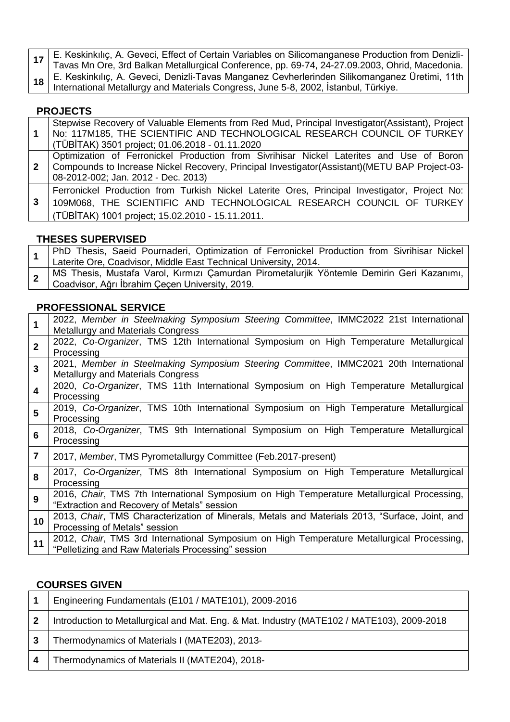**17** E. Keskinkılıç, A. Geveci, Effect of Certain Variables on Silicomanganese Production from Denizli-Tavas Mn Ore, 3rd Balkan Metallurgical Conference, pp. 69-74, 24-27.09.2003, Ohrid, Macedonia. **18** E. Keskinkılıç, A. Geveci, Denizli-Tavas Manganez Cevherlerinden Silikomanganez Üretimi, 11th International Metallurgy and Materials Congress, June 5-8, 2002, İstanbul, Türkiye.

## **PROJECTS**

| $\overline{1}$ | Stepwise Recovery of Valuable Elements from Red Mud, Principal Investigator (Assistant), Project<br>No: 117M185, THE SCIENTIFIC AND TECHNOLOGICAL RESEARCH COUNCIL OF TURKEY<br>(TÜBİTAK) 3501 project; 01.06.2018 - 01.11.2020  |
|----------------|----------------------------------------------------------------------------------------------------------------------------------------------------------------------------------------------------------------------------------|
| $\mathbf{2}$   | Optimization of Ferronickel Production from Sivrihisar Nickel Laterites and Use of Boron<br>Compounds to Increase Nickel Recovery, Principal Investigator(Assistant)(METU BAP Project-03-<br>08-2012-002; Jan. 2012 - Dec. 2013) |
| 3              | Ferronickel Production from Turkish Nickel Laterite Ores, Principal Investigator, Project No:<br>109M068, THE SCIENTIFIC AND TECHNOLOGICAL RESEARCH COUNCIL OF TURKEY<br>(TÜBİTAK) 1001 project; 15.02.2010 - 15.11.2011.        |

### **THESES SUPERVISED**

|  | PhD Thesis, Saeid Pournaderi, Optimization of Ferronickel Production from Sivrihisar Nickel |
|--|---------------------------------------------------------------------------------------------|
|  | Laterite Ore, Coadvisor, Middle East Technical University, 2014.                            |
|  | MS Thesis, Mustafa Varol, Kırmızı Çamurdan Pirometalurjik Yöntemle Demirin Geri Kazanımı,   |
|  | Coadvisor, Ağrı İbrahim Çeçen University, 2019.                                             |

## **PROFESSIONAL SERVICE**

|                | 2022, Member in Steelmaking Symposium Steering Committee, IMMC2022 21st International<br>Metallurgy and Materials Congress                       |
|----------------|--------------------------------------------------------------------------------------------------------------------------------------------------|
| $\mathbf{2}$   | 2022, Co-Organizer, TMS 12th International Symposium on High Temperature Metallurgical<br>Processing                                             |
| 3              | 2021, Member in Steelmaking Symposium Steering Committee, IMMC2021 20th International<br><b>Metallurgy and Materials Congress</b>                |
| 4              | 2020, Co-Organizer, TMS 11th International Symposium on High Temperature Metallurgical<br>Processing                                             |
| 5              | 2019, Co-Organizer, TMS 10th International Symposium on High Temperature Metallurgical<br>Processing                                             |
| 6              | 2018, Co-Organizer, TMS 9th International Symposium on High Temperature Metallurgical<br>Processing                                              |
| $\overline{7}$ | 2017, Member, TMS Pyrometallurgy Committee (Feb.2017-present)                                                                                    |
| 8              | 2017, Co-Organizer, TMS 8th International Symposium on High Temperature Metallurgical<br>Processing                                              |
| 9              | 2016, Chair, TMS 7th International Symposium on High Temperature Metallurgical Processing,<br>"Extraction and Recovery of Metals" session        |
| 10             | 2013, Chair, TMS Characterization of Minerals, Metals and Materials 2013, "Surface, Joint, and<br>Processing of Metals" session                  |
| 11             | 2012, Chair, TMS 3rd International Symposium on High Temperature Metallurgical Processing,<br>"Pelletizing and Raw Materials Processing" session |

## **COURSES GIVEN**

| Engineering Fundamentals (E101 / MATE101), 2009-2016                                       |
|--------------------------------------------------------------------------------------------|
| Introduction to Metallurgical and Mat. Eng. & Mat. Industry (MATE102 / MATE103), 2009-2018 |
| Thermodynamics of Materials I (MATE203), 2013-                                             |
| Thermodynamics of Materials II (MATE204), 2018-                                            |